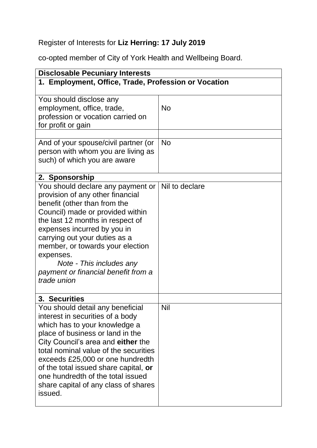## Register of Interests for **Liz Herring: 17 July 2019**

co-opted member of City of York Health and Wellbeing Board.

| <b>Disclosable Pecuniary Interests</b>                                                                                                                                                                                                                                                                                                                                                                         |                |  |
|----------------------------------------------------------------------------------------------------------------------------------------------------------------------------------------------------------------------------------------------------------------------------------------------------------------------------------------------------------------------------------------------------------------|----------------|--|
| 1. Employment, Office, Trade, Profession or Vocation                                                                                                                                                                                                                                                                                                                                                           |                |  |
| You should disclose any<br>employment, office, trade,<br>profession or vocation carried on<br>for profit or gain                                                                                                                                                                                                                                                                                               | <b>No</b>      |  |
| And of your spouse/civil partner (or<br>person with whom you are living as<br>such) of which you are aware                                                                                                                                                                                                                                                                                                     | <b>No</b>      |  |
| 2. Sponsorship<br>You should declare any payment or<br>provision of any other financial<br>benefit (other than from the<br>Council) made or provided within<br>the last 12 months in respect of<br>expenses incurred by you in<br>carrying out your duties as a<br>member, or towards your election<br>expenses.<br>Note - This includes any<br>payment or financial benefit from a<br>trade union             | Nil to declare |  |
| 3. Securities<br>You should detail any beneficial<br>interest in securities of a body<br>which has to your knowledge a<br>place of business or land in the<br>City Council's area and either the<br>total nominal value of the securities<br>exceeds £25,000 or one hundredth<br>of the total issued share capital, or<br>one hundredth of the total issued<br>share capital of any class of shares<br>issued. | <b>Nil</b>     |  |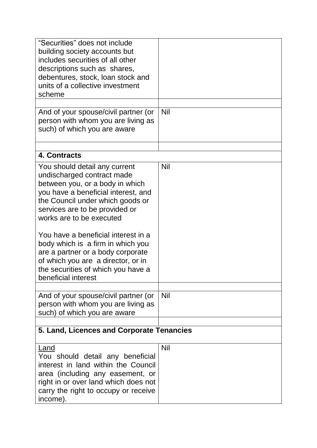| "Securities" does not include<br>building society accounts but<br>includes securities of all other<br>descriptions such as shares,<br>debentures, stock, loan stock and                                                                                                                                                                                                                                                                                     |            |
|-------------------------------------------------------------------------------------------------------------------------------------------------------------------------------------------------------------------------------------------------------------------------------------------------------------------------------------------------------------------------------------------------------------------------------------------------------------|------------|
| units of a collective investment<br>scheme                                                                                                                                                                                                                                                                                                                                                                                                                  |            |
|                                                                                                                                                                                                                                                                                                                                                                                                                                                             |            |
| And of your spouse/civil partner (or<br>person with whom you are living as<br>such) of which you are aware                                                                                                                                                                                                                                                                                                                                                  | <b>Nil</b> |
| 4. Contracts                                                                                                                                                                                                                                                                                                                                                                                                                                                |            |
| You should detail any current<br>undischarged contract made<br>between you, or a body in which<br>you have a beneficial interest, and<br>the Council under which goods or<br>services are to be provided or<br>works are to be executed<br>You have a beneficial interest in a<br>body which is a firm in which you<br>are a partner or a body corporate<br>of which you are a director, or in<br>the securities of which you have a<br>beneficial interest | <b>Nil</b> |
| And of your spouse/civil partner (or<br>person with whom you are living as<br>such) of which you are aware                                                                                                                                                                                                                                                                                                                                                  | <b>Nil</b> |
| 5. Land, Licences and Corporate Tenancies                                                                                                                                                                                                                                                                                                                                                                                                                   |            |
| Land<br>You should detail any beneficial<br>interest in land within the Council<br>area (including any easement, or<br>right in or over land which does not<br>carry the right to occupy or receive<br>income).                                                                                                                                                                                                                                             | <b>Nil</b> |